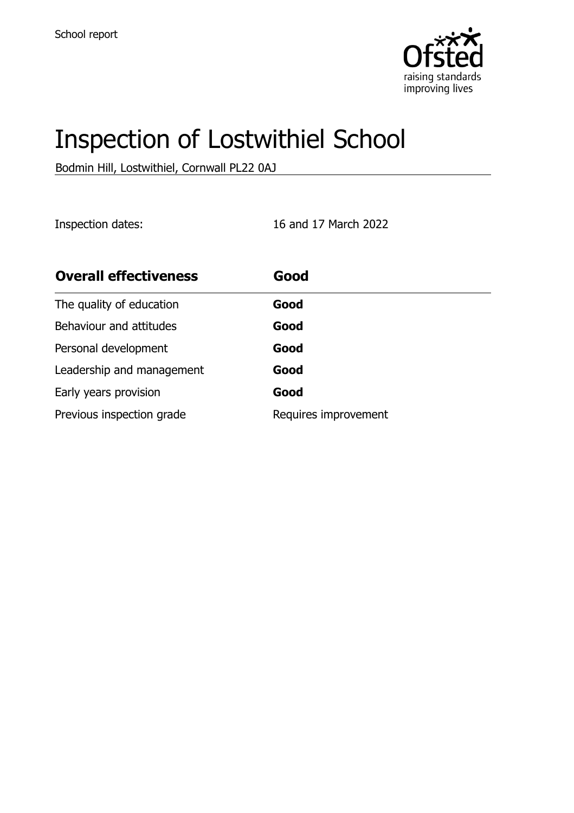

# Inspection of Lostwithiel School

Bodmin Hill, Lostwithiel, Cornwall PL22 0AJ

Inspection dates: 16 and 17 March 2022

| <b>Overall effectiveness</b> | Good                 |
|------------------------------|----------------------|
| The quality of education     | Good                 |
| Behaviour and attitudes      | Good                 |
| Personal development         | Good                 |
| Leadership and management    | Good                 |
| Early years provision        | Good                 |
| Previous inspection grade    | Requires improvement |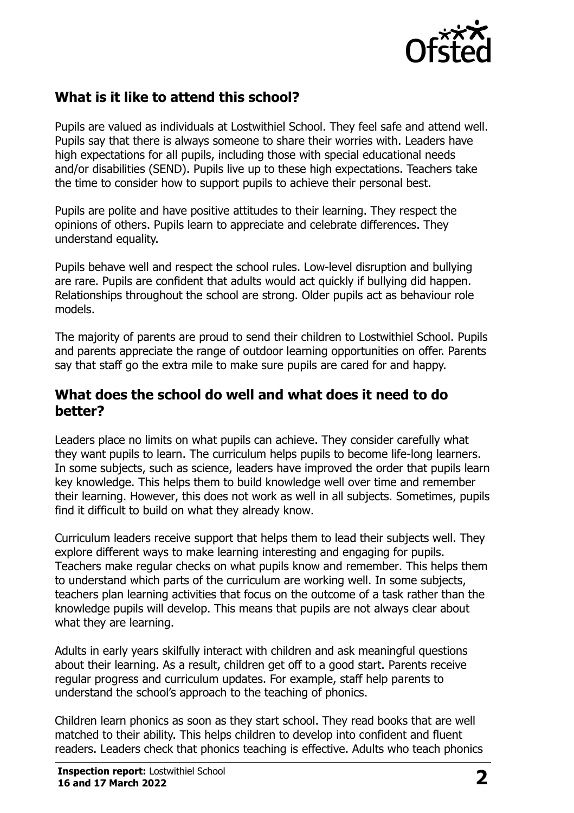

# **What is it like to attend this school?**

Pupils are valued as individuals at Lostwithiel School. They feel safe and attend well. Pupils say that there is always someone to share their worries with. Leaders have high expectations for all pupils, including those with special educational needs and/or disabilities (SEND). Pupils live up to these high expectations. Teachers take the time to consider how to support pupils to achieve their personal best.

Pupils are polite and have positive attitudes to their learning. They respect the opinions of others. Pupils learn to appreciate and celebrate differences. They understand equality.

Pupils behave well and respect the school rules. Low-level disruption and bullying are rare. Pupils are confident that adults would act quickly if bullying did happen. Relationships throughout the school are strong. Older pupils act as behaviour role models.

The majority of parents are proud to send their children to Lostwithiel School. Pupils and parents appreciate the range of outdoor learning opportunities on offer. Parents say that staff go the extra mile to make sure pupils are cared for and happy.

#### **What does the school do well and what does it need to do better?**

Leaders place no limits on what pupils can achieve. They consider carefully what they want pupils to learn. The curriculum helps pupils to become life-long learners. In some subjects, such as science, leaders have improved the order that pupils learn key knowledge. This helps them to build knowledge well over time and remember their learning. However, this does not work as well in all subjects. Sometimes, pupils find it difficult to build on what they already know.

Curriculum leaders receive support that helps them to lead their subjects well. They explore different ways to make learning interesting and engaging for pupils. Teachers make regular checks on what pupils know and remember. This helps them to understand which parts of the curriculum are working well. In some subjects, teachers plan learning activities that focus on the outcome of a task rather than the knowledge pupils will develop. This means that pupils are not always clear about what they are learning.

Adults in early years skilfully interact with children and ask meaningful questions about their learning. As a result, children get off to a good start. Parents receive regular progress and curriculum updates. For example, staff help parents to understand the school's approach to the teaching of phonics.

Children learn phonics as soon as they start school. They read books that are well matched to their ability. This helps children to develop into confident and fluent readers. Leaders check that phonics teaching is effective. Adults who teach phonics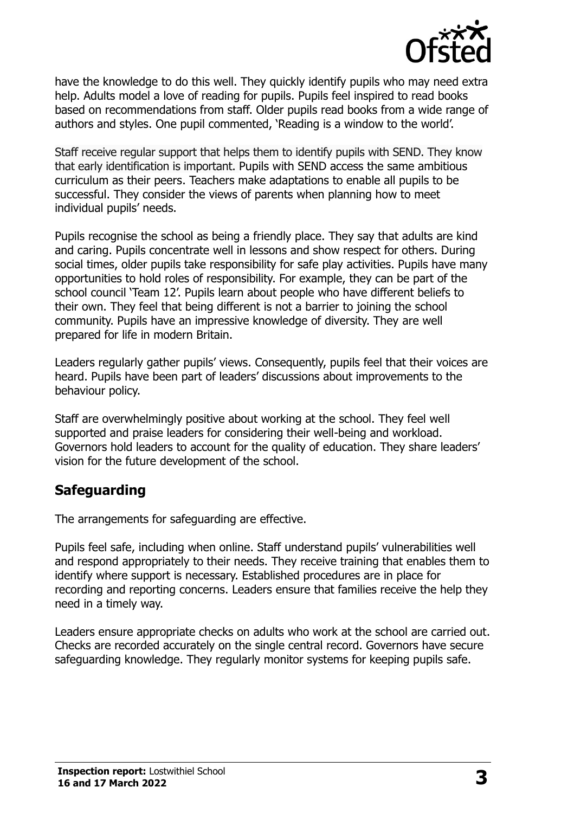

have the knowledge to do this well. They quickly identify pupils who may need extra help. Adults model a love of reading for pupils. Pupils feel inspired to read books based on recommendations from staff. Older pupils read books from a wide range of authors and styles. One pupil commented, 'Reading is a window to the world'.

Staff receive regular support that helps them to identify pupils with SEND. They know that early identification is important. Pupils with SEND access the same ambitious curriculum as their peers. Teachers make adaptations to enable all pupils to be successful. They consider the views of parents when planning how to meet individual pupils' needs.

Pupils recognise the school as being a friendly place. They say that adults are kind and caring. Pupils concentrate well in lessons and show respect for others. During social times, older pupils take responsibility for safe play activities. Pupils have many opportunities to hold roles of responsibility. For example, they can be part of the school council 'Team 12'. Pupils learn about people who have different beliefs to their own. They feel that being different is not a barrier to joining the school community. Pupils have an impressive knowledge of diversity. They are well prepared for life in modern Britain.

Leaders regularly gather pupils' views. Consequently, pupils feel that their voices are heard. Pupils have been part of leaders' discussions about improvements to the behaviour policy.

Staff are overwhelmingly positive about working at the school. They feel well supported and praise leaders for considering their well-being and workload. Governors hold leaders to account for the quality of education. They share leaders' vision for the future development of the school.

# **Safeguarding**

The arrangements for safeguarding are effective.

Pupils feel safe, including when online. Staff understand pupils' vulnerabilities well and respond appropriately to their needs. They receive training that enables them to identify where support is necessary. Established procedures are in place for recording and reporting concerns. Leaders ensure that families receive the help they need in a timely way.

Leaders ensure appropriate checks on adults who work at the school are carried out. Checks are recorded accurately on the single central record. Governors have secure safeguarding knowledge. They regularly monitor systems for keeping pupils safe.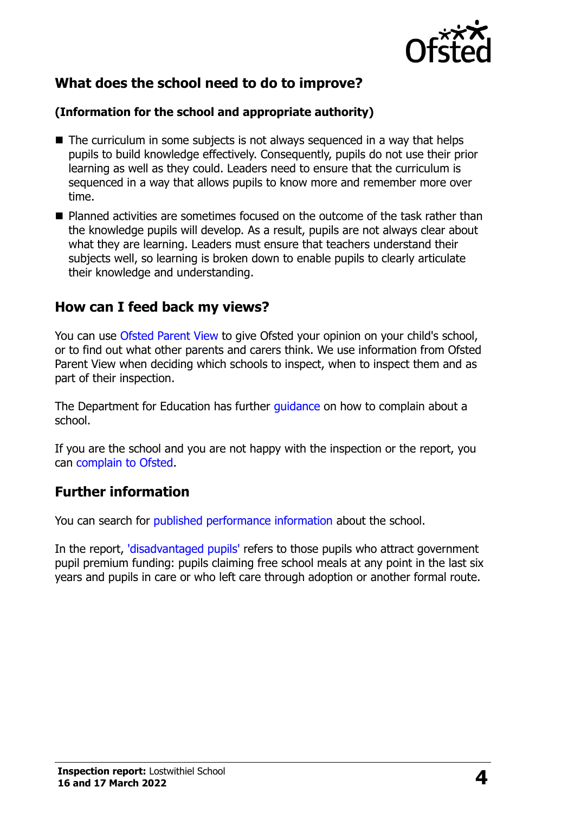

# **What does the school need to do to improve?**

#### **(Information for the school and appropriate authority)**

- The curriculum in some subjects is not always sequenced in a way that helps pupils to build knowledge effectively. Consequently, pupils do not use their prior learning as well as they could. Leaders need to ensure that the curriculum is sequenced in a way that allows pupils to know more and remember more over time.
- **P** Planned activities are sometimes focused on the outcome of the task rather than the knowledge pupils will develop. As a result, pupils are not always clear about what they are learning. Leaders must ensure that teachers understand their subjects well, so learning is broken down to enable pupils to clearly articulate their knowledge and understanding.

### **How can I feed back my views?**

You can use [Ofsted Parent View](http://parentview.ofsted.gov.uk/) to give Ofsted your opinion on your child's school, or to find out what other parents and carers think. We use information from Ofsted Parent View when deciding which schools to inspect, when to inspect them and as part of their inspection.

The Department for Education has further quidance on how to complain about a school.

If you are the school and you are not happy with the inspection or the report, you can [complain to Ofsted.](http://www.gov.uk/complain-ofsted-report)

#### **Further information**

You can search for [published performance information](http://www.compare-school-performance.service.gov.uk/) about the school.

In the report, ['disadvantaged pupils'](http://www.gov.uk/guidance/pupil-premium-information-for-schools-and-alternative-provision-settings) refers to those pupils who attract government pupil premium funding: pupils claiming free school meals at any point in the last six years and pupils in care or who left care through adoption or another formal route.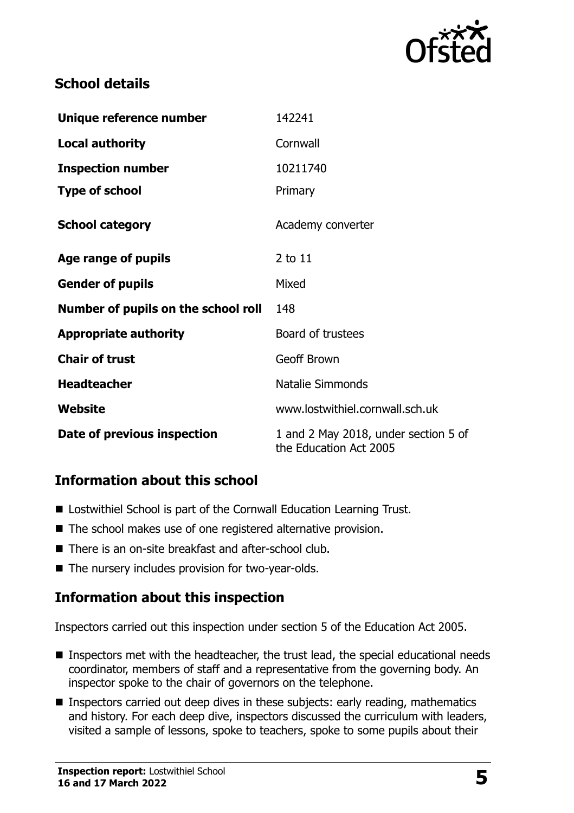

# **School details**

| Unique reference number             | 142241                                                         |
|-------------------------------------|----------------------------------------------------------------|
| <b>Local authority</b>              | Cornwall                                                       |
| <b>Inspection number</b>            | 10211740                                                       |
| <b>Type of school</b>               | Primary                                                        |
| <b>School category</b>              | Academy converter                                              |
| Age range of pupils                 | 2 to 11                                                        |
| <b>Gender of pupils</b>             | Mixed                                                          |
| Number of pupils on the school roll | 148                                                            |
| <b>Appropriate authority</b>        | Board of trustees                                              |
| <b>Chair of trust</b>               | <b>Geoff Brown</b>                                             |
| <b>Headteacher</b>                  | <b>Natalie Simmonds</b>                                        |
| Website                             | www.lostwithiel.cornwall.sch.uk                                |
| Date of previous inspection         | 1 and 2 May 2018, under section 5 of<br>the Education Act 2005 |

# **Information about this school**

- Lostwithiel School is part of the Cornwall Education Learning Trust.
- The school makes use of one registered alternative provision.
- There is an on-site breakfast and after-school club.
- The nursery includes provision for two-year-olds.

# **Information about this inspection**

Inspectors carried out this inspection under section 5 of the Education Act 2005.

- Inspectors met with the headteacher, the trust lead, the special educational needs coordinator, members of staff and a representative from the governing body. An inspector spoke to the chair of governors on the telephone.
- **Inspectors carried out deep dives in these subjects: early reading, mathematics** and history. For each deep dive, inspectors discussed the curriculum with leaders, visited a sample of lessons, spoke to teachers, spoke to some pupils about their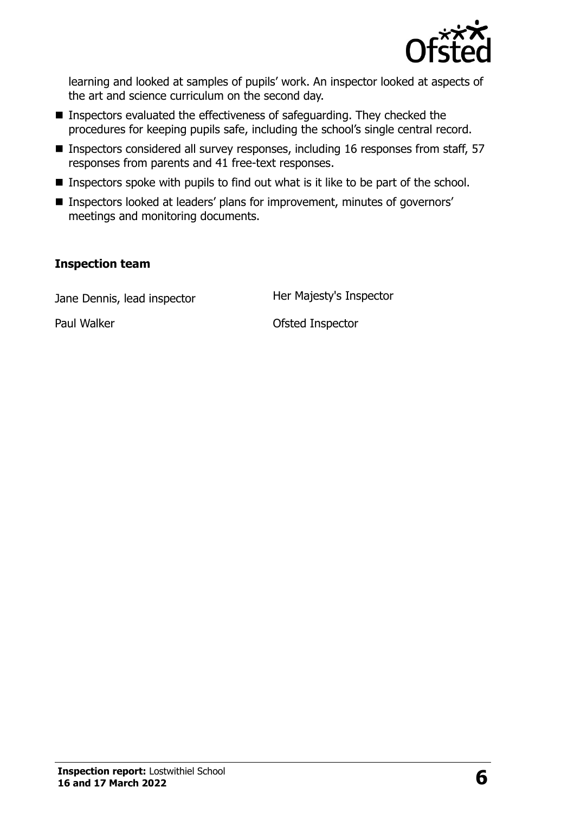

learning and looked at samples of pupils' work. An inspector looked at aspects of the art and science curriculum on the second day.

- Inspectors evaluated the effectiveness of safeguarding. They checked the procedures for keeping pupils safe, including the school's single central record.
- Inspectors considered all survey responses, including 16 responses from staff, 57 responses from parents and 41 free-text responses.
- Inspectors spoke with pupils to find out what is it like to be part of the school.
- Inspectors looked at leaders' plans for improvement, minutes of governors' meetings and monitoring documents.

#### **Inspection team**

Jane Dennis, lead inspector **Her Majesty's Inspector** 

Paul Walker **Paul Walker Paul Walker Paul Walker Ofsted Inspector**